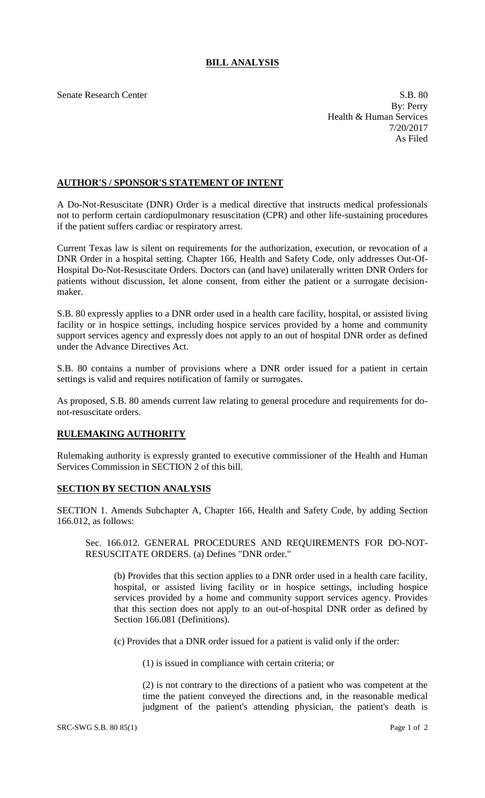## **BILL ANALYSIS**

Senate Research Center S.B. 80 By: Perry Health & Human Services 7/20/2017 As Filed

## **AUTHOR'S / SPONSOR'S STATEMENT OF INTENT**

A Do-Not-Resuscitate (DNR) Order is a medical directive that instructs medical professionals not to perform certain cardiopulmonary resuscitation (CPR) and other life-sustaining procedures if the patient suffers cardiac or respiratory arrest.

Current Texas law is silent on requirements for the authorization, execution, or revocation of a DNR Order in a hospital setting. Chapter 166, Health and Safety Code, only addresses Out-Of-Hospital Do-Not-Resuscitate Orders. Doctors can (and have) unilaterally written DNR Orders for patients without discussion, let alone consent, from either the patient or a surrogate decisionmaker.

S.B. 80 expressly applies to a DNR order used in a health care facility, hospital, or assisted living facility or in hospice settings, including hospice services provided by a home and community support services agency and expressly does not apply to an out of hospital DNR order as defined under the Advance Directives Act.

S.B. 80 contains a number of provisions where a DNR order issued for a patient in certain settings is valid and requires notification of family or surrogates.

As proposed, S.B. 80 amends current law relating to general procedure and requirements for donot-resuscitate orders.

## **RULEMAKING AUTHORITY**

Rulemaking authority is expressly granted to executive commissioner of the Health and Human Services Commission in SECTION 2 of this bill.

## **SECTION BY SECTION ANALYSIS**

SECTION 1. Amends Subchapter A, Chapter 166, Health and Safety Code, by adding Section 166.012, as follows:

Sec. 166.012. GENERAL PROCEDURES AND REQUIREMENTS FOR DO-NOT-RESUSCITATE ORDERS. (a) Defines "DNR order."

(b) Provides that this section applies to a DNR order used in a health care facility, hospital, or assisted living facility or in hospice settings, including hospice services provided by a home and community support services agency. Provides that this section does not apply to an out-of-hospital DNR order as defined by Section 166.081 (Definitions).

(c) Provides that a DNR order issued for a patient is valid only if the order:

(1) is issued in compliance with certain criteria; or

(2) is not contrary to the directions of a patient who was competent at the time the patient conveyed the directions and, in the reasonable medical judgment of the patient's attending physician, the patient's death is